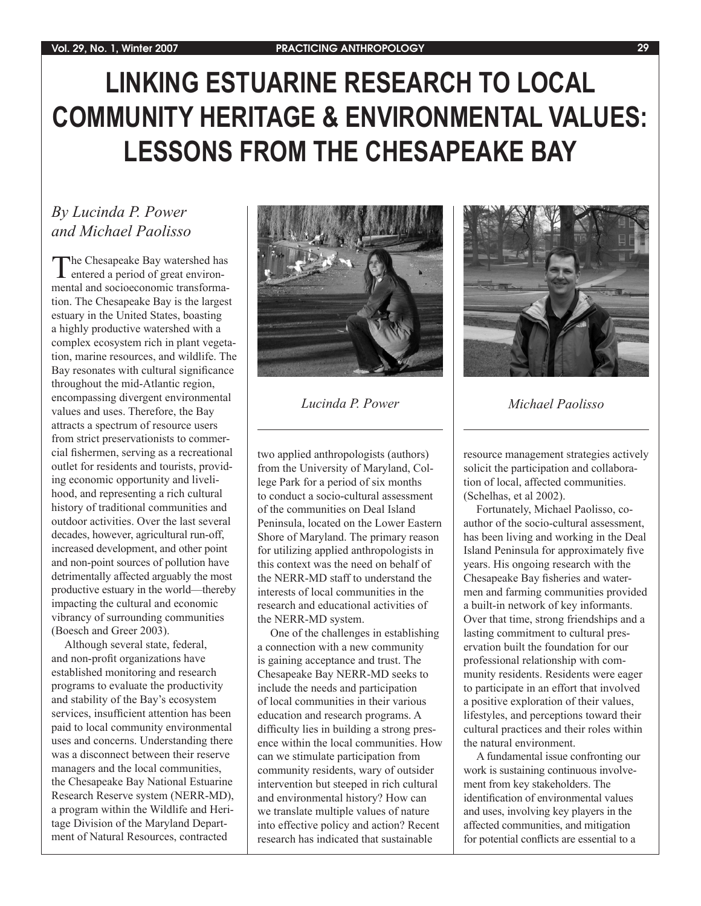# **Linking Estuarine Research to Local Community Heritage & Environmental Values: Lessons from the Chesapeake Bay**

## *By Lucinda P. Power and Michael Paolisso*

The Chesapeake Bay watershed has entered a period of great environmental and socioeconomic transformation. The Chesapeake Bay is the largest estuary in the United States, boasting a highly productive watershed with a complex ecosystem rich in plant vegetation, marine resources, and wildlife. The Bay resonates with cultural significance throughout the mid-Atlantic region, encompassing divergent environmental values and uses. Therefore, the Bay attracts a spectrum of resource users from strict preservationists to commercial fishermen, serving as a recreational outlet for residents and tourists, providing economic opportunity and livelihood, and representing a rich cultural history of traditional communities and outdoor activities. Over the last several decades, however, agricultural run-off, increased development, and other point and non-point sources of pollution have detrimentally affected arguably the most productive estuary in the world—thereby impacting the cultural and economic vibrancy of surrounding communities (Boesch and Greer 2003).

Although several state, federal, and non-profit organizations have established monitoring and research programs to evaluate the productivity and stability of the Bay's ecosystem services, insufficient attention has been paid to local community environmental uses and concerns. Understanding there was a disconnect between their reserve managers and the local communities, the Chesapeake Bay National Estuarine Research Reserve system (NERR-MD), a program within the Wildlife and Heritage Division of the Maryland Department of Natural Resources, contracted



*Lucinda P. Power Michael Paolisso*

two applied anthropologists (authors) from the University of Maryland, College Park for a period of six months to conduct a socio-cultural assessment of the communities on Deal Island Peninsula, located on the Lower Eastern Shore of Maryland. The primary reason for utilizing applied anthropologists in this context was the need on behalf of the NERR-MD staff to understand the interests of local communities in the research and educational activities of the NERR-MD system.

One of the challenges in establishing a connection with a new community is gaining acceptance and trust. The Chesapeake Bay NERR-MD seeks to include the needs and participation of local communities in their various education and research programs. A difficulty lies in building a strong presence within the local communities. How can we stimulate participation from community residents, wary of outsider intervention but steeped in rich cultural and environmental history? How can we translate multiple values of nature into effective policy and action? Recent research has indicated that sustainable



resource management strategies actively solicit the participation and collaboration of local, affected communities. (Schelhas, et al 2002).

Fortunately, Michael Paolisso, coauthor of the socio-cultural assessment, has been living and working in the Deal Island Peninsula for approximately five years. His ongoing research with the Chesapeake Bay fisheries and watermen and farming communities provided a built-in network of key informants. Over that time, strong friendships and a lasting commitment to cultural preservation built the foundation for our professional relationship with community residents. Residents were eager to participate in an effort that involved a positive exploration of their values, lifestyles, and perceptions toward their cultural practices and their roles within the natural environment.

A fundamental issue confronting our work is sustaining continuous involvement from key stakeholders. The identification of environmental values and uses, involving key players in the affected communities, and mitigation for potential conflicts are essential to a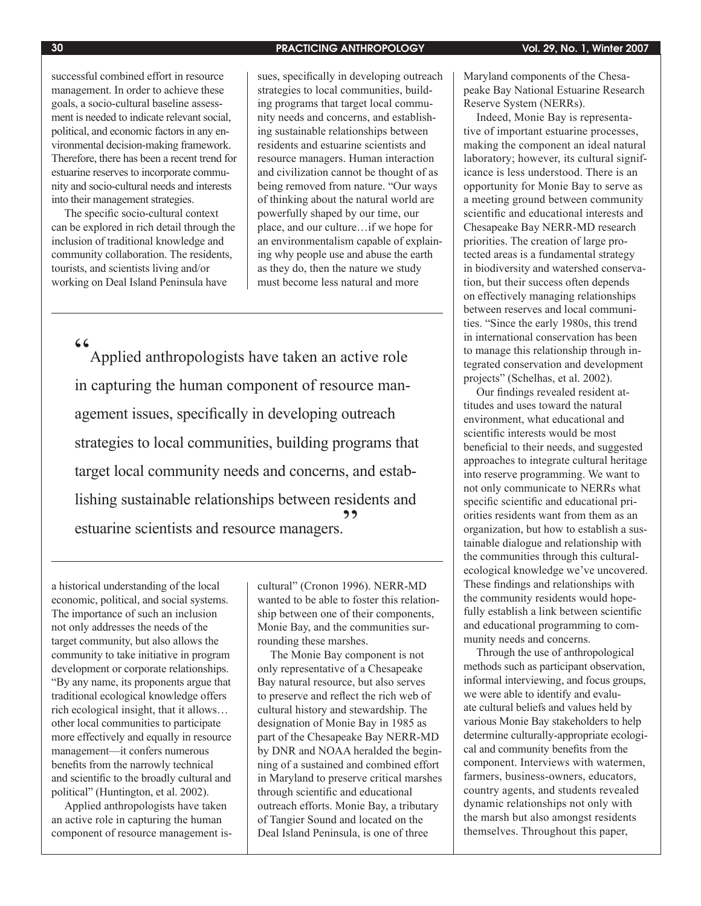#### 30 PRACTICING ANTHROPOLOGY Vol. 29, No. 1, Winter 2007

successful combined effort in resource management. In order to achieve these goals, a socio-cultural baseline assessment is needed to indicate relevant social, political, and economic factors in any environmental decision-making framework. Therefore, there has been a recent trend for estuarine reserves to incorporate community and socio-cultural needs and interests into their management strategies.

 The specific socio-cultural context can be explored in rich detail through the inclusion of traditional knowledge and community collaboration. The residents, tourists, and scientists living and/or working on Deal Island Peninsula have

sues, specifically in developing outreach strategies to local communities, building programs that target local community needs and concerns, and establishing sustainable relationships between residents and estuarine scientists and resource managers. Human interaction and civilization cannot be thought of as being removed from nature. "Our ways of thinking about the natural world are powerfully shaped by our time, our place, and our culture…if we hope for an environmentalism capable of explaining why people use and abuse the earth as they do, then the nature we study must become less natural and more

 $66$ Applied anthropologists have taken an active role in capturing the human component of resource management issues, specifically in developing outreach strategies to local communities, building programs that target local community needs and concerns, and establishing sustainable relationships between residents and estuarine scientists and resource managers. "

a historical understanding of the local economic, political, and social systems. The importance of such an inclusion not only addresses the needs of the target community, but also allows the community to take initiative in program development or corporate relationships. "By any name, its proponents argue that traditional ecological knowledge offers rich ecological insight, that it allows… other local communities to participate more effectively and equally in resource management—it confers numerous benefits from the narrowly technical and scientific to the broadly cultural and political" (Huntington, et al. 2002).

Applied anthropologists have taken an active role in capturing the human component of resource management iscultural" (Cronon 1996). NERR-MD wanted to be able to foster this relationship between one of their components, Monie Bay, and the communities surrounding these marshes.

The Monie Bay component is not only representative of a Chesapeake Bay natural resource, but also serves to preserve and reflect the rich web of cultural history and stewardship. The designation of Monie Bay in 1985 as part of the Chesapeake Bay NERR-MD by DNR and NOAA heralded the beginning of a sustained and combined effort in Maryland to preserve critical marshes through scientific and educational outreach efforts. Monie Bay, a tributary of Tangier Sound and located on the Deal Island Peninsula, is one of three

Maryland components of the Chesapeake Bay National Estuarine Research Reserve System (NERRs).

Indeed, Monie Bay is representative of important estuarine processes, making the component an ideal natural laboratory; however, its cultural significance is less understood. There is an opportunity for Monie Bay to serve as a meeting ground between community scientific and educational interests and Chesapeake Bay NERR-MD research priorities. The creation of large protected areas is a fundamental strategy in biodiversity and watershed conservation, but their success often depends on effectively managing relationships between reserves and local communities. "Since the early 1980s, this trend in international conservation has been to manage this relationship through integrated conservation and development projects" (Schelhas, et al. 2002).

 Our findings revealed resident attitudes and uses toward the natural environment, what educational and scientific interests would be most beneficial to their needs, and suggested approaches to integrate cultural heritage into reserve programming. We want to not only communicate to NERRs what specific scientific and educational priorities residents want from them as an organization, but how to establish a sustainable dialogue and relationship with the communities through this culturalecological knowledge we've uncovered. These findings and relationships with the community residents would hopefully establish a link between scientific and educational programming to community needs and concerns.

Through the use of anthropological methods such as participant observation, informal interviewing, and focus groups, we were able to identify and evaluate cultural beliefs and values held by various Monie Bay stakeholders to help determine culturally-appropriate ecological and community benefits from the component. Interviews with watermen, farmers, business-owners, educators, country agents, and students revealed dynamic relationships not only with the marsh but also amongst residents themselves. Throughout this paper,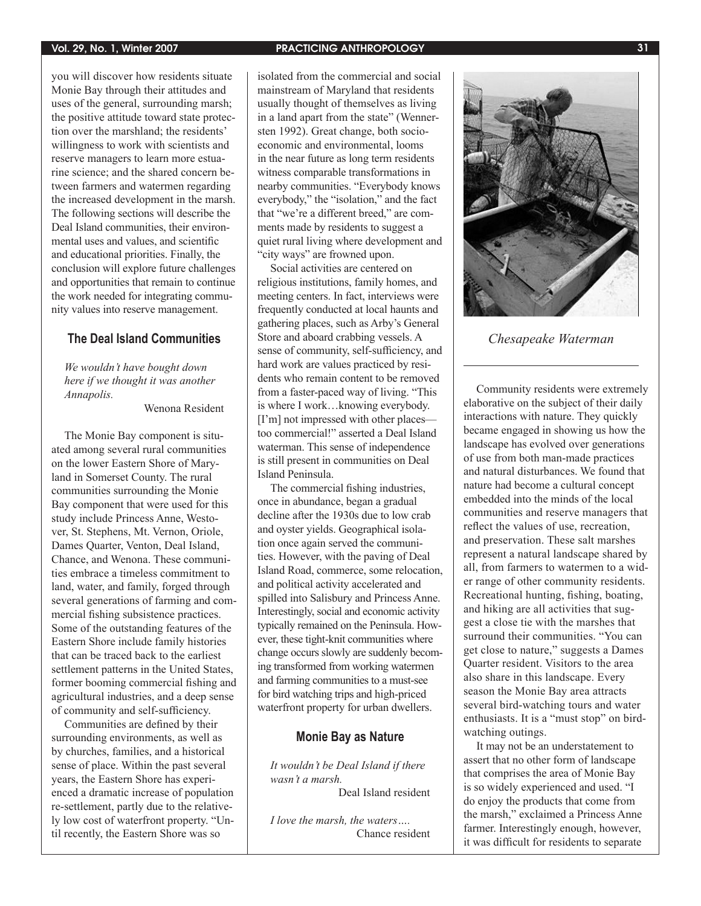#### Vol. 29, No. 1, Winter 2007 PRACTICING ANTHROPOLOGY 31

you will discover how residents situate Monie Bay through their attitudes and uses of the general, surrounding marsh; the positive attitude toward state protection over the marshland; the residents' willingness to work with scientists and reserve managers to learn more estuarine science; and the shared concern between farmers and watermen regarding the increased development in the marsh. The following sections will describe the Deal Island communities, their environmental uses and values, and scientific and educational priorities. Finally, the conclusion will explore future challenges and opportunities that remain to continue the work needed for integrating community values into reserve management.

#### **The Deal Island Communities**

*We wouldn't have bought down here if we thought it was another Annapolis.*

Wenona Resident

The Monie Bay component is situated among several rural communities on the lower Eastern Shore of Maryland in Somerset County. The rural communities surrounding the Monie Bay component that were used for this study include Princess Anne, Westover, St. Stephens, Mt. Vernon, Oriole, Dames Quarter, Venton, Deal Island, Chance, and Wenona. These communities embrace a timeless commitment to land, water, and family, forged through several generations of farming and commercial fishing subsistence practices. Some of the outstanding features of the Eastern Shore include family histories that can be traced back to the earliest settlement patterns in the United States, former booming commercial fishing and agricultural industries, and a deep sense of community and self-sufficiency.

 Communities are defined by their surrounding environments, as well as by churches, families, and a historical sense of place. Within the past several years, the Eastern Shore has experienced a dramatic increase of population re-settlement, partly due to the relatively low cost of waterfront property. "Until recently, the Eastern Shore was so

isolated from the commercial and social mainstream of Maryland that residents usually thought of themselves as living in a land apart from the state" (Wennersten 1992). Great change, both socioeconomic and environmental, looms in the near future as long term residents witness comparable transformations in nearby communities. "Everybody knows everybody," the "isolation," and the fact that "we're a different breed," are comments made by residents to suggest a quiet rural living where development and "city ways" are frowned upon.

Social activities are centered on religious institutions, family homes, and meeting centers. In fact, interviews were frequently conducted at local haunts and gathering places, such as Arby's General Store and aboard crabbing vessels. A sense of community, self-sufficiency, and hard work are values practiced by residents who remain content to be removed from a faster-paced way of living. "This is where I work…knowing everybody. [I'm] not impressed with other places too commercial!" asserted a Deal Island waterman. This sense of independence is still present in communities on Deal Island Peninsula.

 The commercial fishing industries, once in abundance, began a gradual decline after the 1930s due to low crab and oyster yields. Geographical isolation once again served the communities. However, with the paving of Deal Island Road, commerce, some relocation, and political activity accelerated and spilled into Salisbury and Princess Anne. Interestingly, social and economic activity typically remained on the Peninsula. However, these tight-knit communities where change occurs slowly are suddenly becoming transformed from working watermen and farming communities to a must-see for bird watching trips and high-priced waterfront property for urban dwellers.

#### **Monie Bay as Nature**

*It wouldn't be Deal Island if there wasn't a marsh.*

Deal Island resident

*I love the marsh, the waters….* Chance resident



*Chesapeake Waterman*

Community residents were extremely elaborative on the subject of their daily interactions with nature. They quickly became engaged in showing us how the landscape has evolved over generations of use from both man-made practices and natural disturbances. We found that nature had become a cultural concept embedded into the minds of the local communities and reserve managers that reflect the values of use, recreation, and preservation. These salt marshes represent a natural landscape shared by all, from farmers to watermen to a wider range of other community residents. Recreational hunting, fishing, boating, and hiking are all activities that suggest a close tie with the marshes that surround their communities. "You can get close to nature," suggests a Dames Quarter resident. Visitors to the area also share in this landscape. Every season the Monie Bay area attracts several bird-watching tours and water enthusiasts. It is a "must stop" on birdwatching outings.

It may not be an understatement to assert that no other form of landscape that comprises the area of Monie Bay is so widely experienced and used. "I do enjoy the products that come from the marsh," exclaimed a Princess Anne farmer. Interestingly enough, however, it was difficult for residents to separate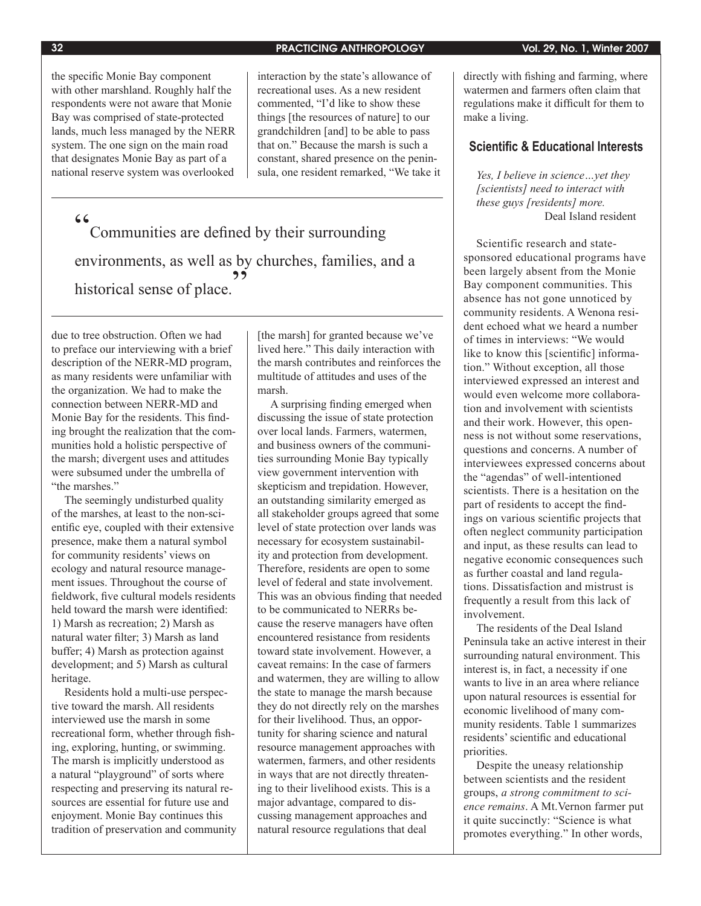the specific Monie Bay component with other marshland. Roughly half the respondents were not aware that Monie Bay was comprised of state-protected lands, much less managed by the NERR system. The one sign on the main road that designates Monie Bay as part of a national reserve system was overlooked

interaction by the state's allowance of recreational uses. As a new resident commented, "I'd like to show these things [the resources of nature] to our grandchildren [and] to be able to pass that on." Because the marsh is such a constant, shared presence on the peninsula, one resident remarked, "We take it

 $66$ Communities are defined by their surrounding environments, as well as by churches, families, and a historical sense of place.  $\overline{\phantom{a}}$ 

due to tree obstruction. Often we had to preface our interviewing with a brief description of the NERR-MD program, as many residents were unfamiliar with the organization. We had to make the connection between NERR-MD and Monie Bay for the residents. This finding brought the realization that the communities hold a holistic perspective of the marsh; divergent uses and attitudes were subsumed under the umbrella of "the marshes."

The seemingly undisturbed quality of the marshes, at least to the non-scientific eye, coupled with their extensive presence, make them a natural symbol for community residents' views on ecology and natural resource management issues. Throughout the course of fieldwork, five cultural models residents held toward the marsh were identified: 1) Marsh as recreation; 2) Marsh as natural water filter; 3) Marsh as land buffer; 4) Marsh as protection against development; and 5) Marsh as cultural heritage.

Residents hold a multi-use perspective toward the marsh. All residents interviewed use the marsh in some recreational form, whether through fishing, exploring, hunting, or swimming. The marsh is implicitly understood as a natural "playground" of sorts where respecting and preserving its natural resources are essential for future use and enjoyment. Monie Bay continues this tradition of preservation and community

[the marsh] for granted because we've lived here." This daily interaction with the marsh contributes and reinforces the multitude of attitudes and uses of the marsh.

 A surprising finding emerged when discussing the issue of state protection over local lands. Farmers, watermen, and business owners of the communities surrounding Monie Bay typically view government intervention with skepticism and trepidation. However, an outstanding similarity emerged as all stakeholder groups agreed that some level of state protection over lands was necessary for ecosystem sustainability and protection from development. Therefore, residents are open to some level of federal and state involvement. This was an obvious finding that needed to be communicated to NERRs because the reserve managers have often encountered resistance from residents toward state involvement. However, a caveat remains: In the case of farmers and watermen, they are willing to allow the state to manage the marsh because they do not directly rely on the marshes for their livelihood. Thus, an opportunity for sharing science and natural resource management approaches with watermen, farmers, and other residents in ways that are not directly threatening to their livelihood exists. This is a major advantage, compared to discussing management approaches and natural resource regulations that deal

directly with fishing and farming, where watermen and farmers often claim that regulations make it difficult for them to make a living.

### **Scientific & Educational Interests**

*Yes, I believe in science…yet they [scientists] need to interact with these guys [residents] more.* Deal Island resident

Scientific research and statesponsored educational programs have been largely absent from the Monie Bay component communities. This absence has not gone unnoticed by community residents. A Wenona resident echoed what we heard a number of times in interviews: "We would like to know this [scientific] information." Without exception, all those interviewed expressed an interest and would even welcome more collaboration and involvement with scientists and their work. However, this openness is not without some reservations, questions and concerns. A number of interviewees expressed concerns about the "agendas" of well-intentioned scientists. There is a hesitation on the part of residents to accept the findings on various scientific projects that often neglect community participation and input, as these results can lead to negative economic consequences such as further coastal and land regulations. Dissatisfaction and mistrust is frequently a result from this lack of involvement.

The residents of the Deal Island Peninsula take an active interest in their surrounding natural environment. This interest is, in fact, a necessity if one wants to live in an area where reliance upon natural resources is essential for economic livelihood of many community residents. Table 1 summarizes residents'scientific and educational priorities.

Despite the uneasy relationship between scientists and the resident groups, *a strong commitment to science remains*. A Mt.Vernon farmer put it quite succinctly: "Science is what promotes everything." In other words,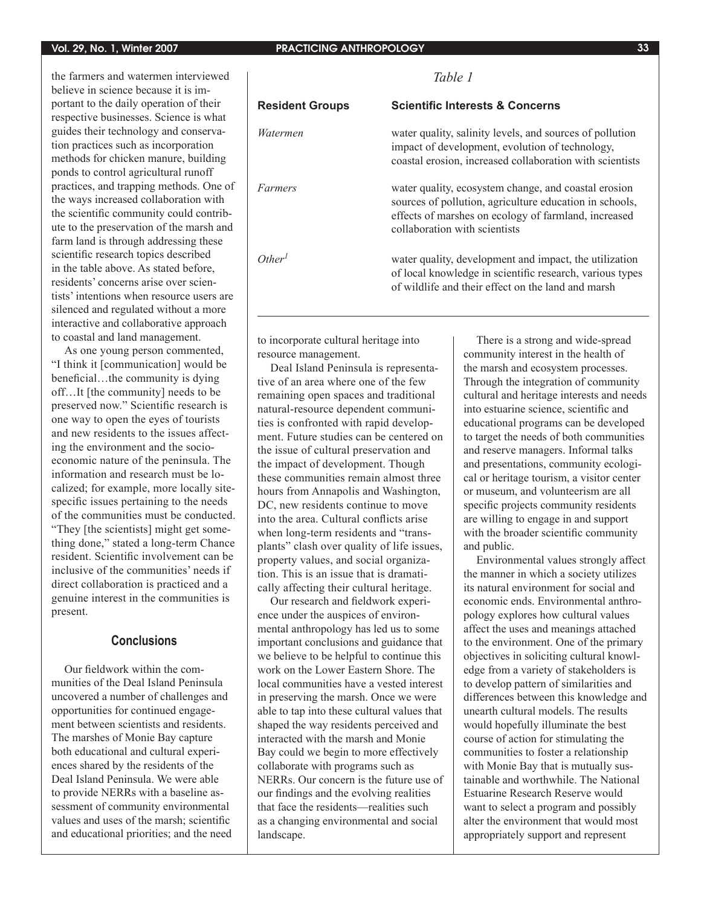interactive and collaborative approach to coastal and land management.

present.

As one young person commented, "I think it [communication] would be beneficial…the community is dying off…It [the community] needs to be preserved now." Scientific research is one way to open the eyes of tourists and new residents to the issues affecting the environment and the socioeconomic nature of the peninsula. The information and research must be localized; for example, more locally sitespecific issues pertaining to the needs of the communities must be conducted. "They [the scientists] might get something done," stated a long-term Chance resident. Scientific involvement can be inclusive of the communities' needs if direct collaboration is practiced and a genuine interest in the communities is

**Conclusions** 

 Our fieldwork within the communities of the Deal Island Peninsula uncovered a number of challenges and opportunities for continued engagement between scientists and residents. The marshes of Monie Bay capture both educational and cultural experiences shared by the residents of the Deal Island Peninsula. We were able to provide NERRs with a baseline assessment of community environmental values and uses of the marsh; scientific and educational priorities; and the need

| the farmers and watermen interviewed      | Table 1                |                                                                                                                                                                                                          |
|-------------------------------------------|------------------------|----------------------------------------------------------------------------------------------------------------------------------------------------------------------------------------------------------|
| believe in science because it is im-      |                        |                                                                                                                                                                                                          |
| portant to the daily operation of their   | <b>Resident Groups</b> | <b>Scientific Interests &amp; Concerns</b>                                                                                                                                                               |
| respective businesses. Science is what    |                        |                                                                                                                                                                                                          |
| guides their technology and conserva-     | Watermen               | water quality, salinity levels, and sources of pollution<br>impact of development, evolution of technology,<br>coastal erosion, increased collaboration with scientists                                  |
| tion practices such as incorporation      |                        |                                                                                                                                                                                                          |
| methods for chicken manure, building      |                        |                                                                                                                                                                                                          |
| ponds to control agricultural runoff      |                        |                                                                                                                                                                                                          |
| practices, and trapping methods. One of   | Farmers                | water quality, ecosystem change, and coastal erosion<br>sources of pollution, agriculture education in schools,<br>effects of marshes on ecology of farmland, increased<br>collaboration with scientists |
| the ways increased collaboration with     |                        |                                                                                                                                                                                                          |
| the scientific community could contrib-   |                        |                                                                                                                                                                                                          |
| ute to the preservation of the marsh and  |                        |                                                                                                                                                                                                          |
| farm land is through addressing these     |                        |                                                                                                                                                                                                          |
| scientific research topics described      | Other <sup>1</sup>     | water quality, development and impact, the utilization<br>of local knowledge in scientific research, various types<br>of wildlife and their effect on the land and marsh                                 |
| in the table above. As stated before,     |                        |                                                                                                                                                                                                          |
| residents' concerns arise over scien-     |                        |                                                                                                                                                                                                          |
| tists' intentions when resource users are |                        |                                                                                                                                                                                                          |
| silenced and regulated without a more     |                        |                                                                                                                                                                                                          |

to incorporate cultural heritage into resource management.

Deal Island Peninsula is representative of an area where one of the few remaining open spaces and traditional natural-resource dependent communities is confronted with rapid development. Future studies can be centered on the issue of cultural preservation and the impact of development. Though these communities remain almost three hours from Annapolis and Washington, DC, new residents continue to move into the area. Cultural conflicts arise when long-term residents and "transplants" clash over quality of life issues, property values, and social organization. This is an issue that is dramatically affecting their cultural heritage.

 Our research and fieldwork experience under the auspices of environmental anthropology has led us to some important conclusions and guidance that we believe to be helpful to continue this work on the Lower Eastern Shore. The local communities have a vested interest in preserving the marsh. Once we were able to tap into these cultural values that shaped the way residents perceived and interacted with the marsh and Monie Bay could we begin to more effectively collaborate with programs such as NERRs. Our concern is the future use of our findings and the evolving realities that face the residents—realities such as a changing environmental and social landscape.

There is a strong and wide-spread community interest in the health of the marsh and ecosystem processes. Through the integration of community cultural and heritage interests and needs into estuarine science, scientific and educational programs can be developed to target the needs of both communities and reserve managers. Informal talks and presentations, community ecological or heritage tourism, a visitor center or museum, and volunteerism are all specific projects community residents are willing to engage in and support with the broader scientific community and public.

Environmental values strongly affect the manner in which a society utilizes its natural environment for social and economic ends. Environmental anthropology explores how cultural values affect the uses and meanings attached to the environment. One of the primary objectives in soliciting cultural knowledge from a variety of stakeholders is to develop pattern of similarities and differences between this knowledge and unearth cultural models. The results would hopefully illuminate the best course of action for stimulating the communities to foster a relationship with Monie Bay that is mutually sustainable and worthwhile. The National Estuarine Research Reserve would want to select a program and possibly alter the environment that would most appropriately support and represent